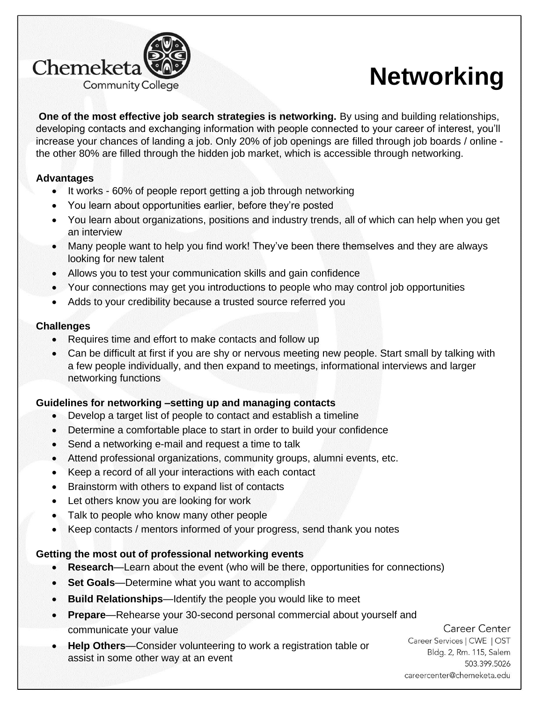

# **Networking**

**One of the most effective job search strategies is networking.** By using and building relationships, developing contacts and exchanging information with people connected to your career of interest, you'll increase your chances of landing a job. Only 20% of job openings are filled through job boards / online the other 80% are filled through the hidden job market, which is accessible through networking.

## **Advantages**

- It works 60% of people report getting a job through networking
- You learn about opportunities earlier, before they're posted
- You learn about organizations, positions and industry trends, all of which can help when you get an interview
- Many people want to help you find work! They've been there themselves and they are always looking for new talent
- Allows you to test your communication skills and gain confidence
- Your connections may get you introductions to people who may control job opportunities
- Adds to your credibility because a trusted source referred you

## **Challenges**

- Requires time and effort to make contacts and follow up
- Can be difficult at first if you are shy or nervous meeting new people. Start small by talking with a few people individually, and then expand to meetings, informational interviews and larger networking functions

# **Guidelines for networking –setting up and managing contacts**

- Develop a target list of people to contact and establish a timeline
- Determine a comfortable place to start in order to build your confidence
- Send a networking e-mail and request a time to talk
- Attend professional organizations, community groups, alumni events, etc.
- Keep a record of all your interactions with each contact
- Brainstorm with others to expand list of contacts
- Let others know you are looking for work
- Talk to people who know many other people
- Keep contacts / mentors informed of your progress, send thank you notes

# **Getting the most out of professional networking events**

- **Research**—Learn about the event (who will be there, opportunities for connections)
- **Set Goals**—Determine what you want to accomplish
- **Build Relationships**—Identify the people you would like to meet
- **Prepare**—Rehearse your 30-second personal commercial about yourself and communicate your value

#### • **Help Others**—Consider volunteering to work a registration table or assist in some other way at an event

Career Center Career Services | CWE | OST Bldg. 2, Rm. 115, Salem 503.399.5026 careercenter@chemeketa.edu